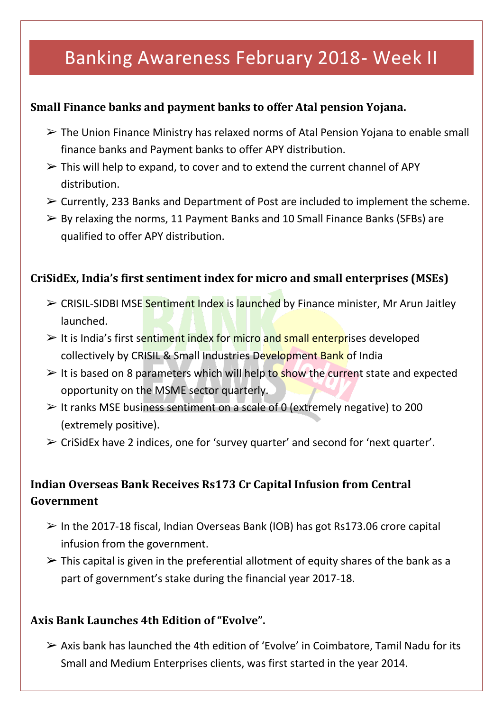# Banking Awareness February 2018- Week II

## **Small Finance banks and payment banks to offer Atal pension Yojana.**

- $\triangleright$  The Union Finance Ministry has relaxed norms of Atal Pension Yojana to enable small finance banks and Payment banks to offer APY distribution.
- $\triangleright$  This will help to expand, to cover and to extend the current channel of APY distribution.
- $\triangleright$  Currently, 233 Banks and Department of Post are included to implement the scheme.
- $\triangleright$  By relaxing the norms, 11 Payment Banks and 10 Small Finance Banks (SFBs) are qualified to offer APY distribution.

#### **CriSidEx, India's first sentiment index for micro and small enterprises (MSEs)**

- ➢ CRISIL-SIDBI MSE Sentiment Index is launched by Finance minister, Mr Arun Jaitley launched.
- $\geq$  It is India's first sentiment index for micro and small enterprises developed collectively by CRISIL & Small Industries Development Bank of India
- $\triangleright$  It is based on 8 parameters which will help to show the current state and expected opportunity on the MSME sector quarterly.
- $\geq$  It ranks MSE business sentiment on a scale of 0 (extremely negative) to 200 (extremely positive).
- ➢ CriSidEx have 2 indices, one for 'survey quarter' and second for 'next quarter'.

## **Indian Overseas Bank Receives Rs173 Cr Capital Infusion from Central Government**

- $\geq$  In the 2017-18 fiscal, Indian Overseas Bank (IOB) has got Rs173.06 crore capital infusion from the government.
- $\triangleright$  This capital is given in the preferential allotment of equity shares of the bank as a part of government's stake during the financial year 2017-18.

## **Axis Bank Launches 4th Edition of "Evolve".**

 $\triangleright$  Axis bank has launched the 4th edition of 'Evolve' in Coimbatore, Tamil Nadu for its Small and Medium Enterprises clients, was first started in the year 2014.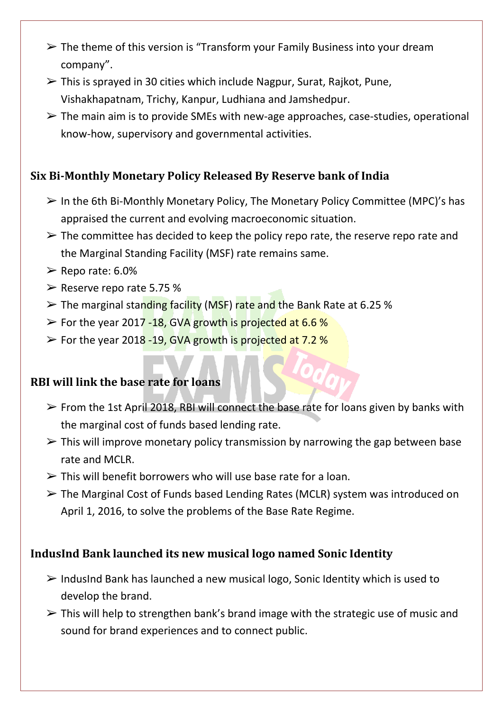- $\geq$  The theme of this version is "Transform your Family Business into your dream company".
- $\triangleright$  This is sprayed in 30 cities which include Nagpur, Surat, Rajkot, Pune, Vishakhapatnam, Trichy, Kanpur, Ludhiana and Jamshedpur.
- $\triangleright$  The main aim is to provide SMEs with new-age approaches, case-studies, operational know-how, supervisory and governmental activities.

## **Six Bi-Monthly Monetary Policy Released By Reserve bank of India**

- $\triangleright$  In the 6th Bi-Monthly Monetary Policy, The Monetary Policy Committee (MPC)'s has appraised the current and evolving macroeconomic situation.
- $\triangleright$  The committee has decided to keep the policy repo rate, the reserve repo rate and the Marginal Standing Facility (MSF) rate remains same.
- $\geq$  Repo rate: 6.0%
- $\geq$  Reserve repo rate 5.75 %
- $\geq$  The marginal standing facility (MSF) rate and the Bank Rate at 6.25 %
- $\geq$  For the year 2017 -18, GVA growth is projected at 6.6 %
- ➢ For the year 2018 -19, GVA growth is projected at 7.2 %

## **RBI will link the base rate for loans**

- $\triangleright$  From the 1st April 2018, RBI will connect the base rate for loans given by banks with the marginal cost of funds based lending rate.
- $\triangleright$  This will improve monetary policy transmission by narrowing the gap between base rate and MCLR.
- $\triangleright$  This will benefit borrowers who will use base rate for a loan.
- ➢ The Marginal Cost of Funds based Lending Rates (MCLR) system was introduced on April 1, 2016, to solve the problems of the Base Rate Regime.

## **IndusInd Bank launched its new musical logo named Sonic Identity**

- $\triangleright$  IndusInd Bank has launched a new musical logo, Sonic Identity which is used to develop the brand.
- $\triangleright$  This will help to strengthen bank's brand image with the strategic use of music and sound for brand experiences and to connect public.